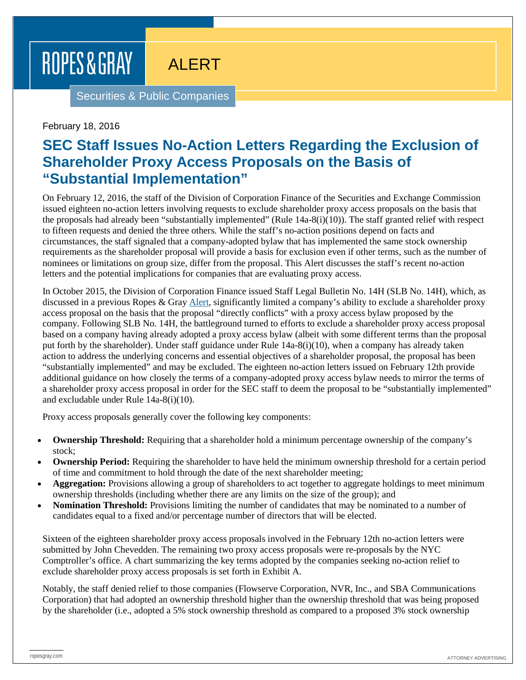## ROPES & GRAY

ALERT

Securities & Public Companies

February 18, 2016

## **SEC Staff Issues No-Action Letters Regarding the Exclusion of Shareholder Proxy Access Proposals on the Basis of "Substantial Implementation"**

On February 12, 2016, the staff of the Division of Corporation Finance of the Securities and Exchange Commission issued eighteen no-action letters involving requests to exclude shareholder proxy access proposals on the basis that the proposals had already been "substantially implemented" (Rule 14a-8(i)(10)). The staff granted relief with respect to fifteen requests and denied the three others. While the staff's no-action positions depend on facts and circumstances, the staff signaled that a company-adopted bylaw that has implemented the same stock ownership requirements as the shareholder proposal will provide a basis for exclusion even if other terms, such as the number of nominees or limitations on group size, differ from the proposal. This Alert discusses the staff's recent no-action letters and the potential implications for companies that are evaluating proxy access.

In October 2015, the Division of Corporation Finance issued Staff Legal Bulletin No. 14H (SLB No. 14H), which, as discussed in a previous Ropes & Gray [Alert,](https://www.ropesgray.com/newsroom/alerts/2015/October/SEC-Issues-Staff-Legal-Bulletin-Outlining-the-Scope-of-the-Directly-Conflicts-Exclusion-under.aspx) significantly limited a company's ability to exclude a shareholder proxy access proposal on the basis that the proposal "directly conflicts" with a proxy access bylaw proposed by the company. Following SLB No. 14H, the battleground turned to efforts to exclude a shareholder proxy access proposal based on a company having already adopted a proxy access bylaw (albeit with some different terms than the proposal put forth by the shareholder). Under staff guidance under Rule 14a-8(i)(10), when a company has already taken action to address the underlying concerns and essential objectives of a shareholder proposal, the proposal has been "substantially implemented" and may be excluded. The eighteen no-action letters issued on February 12th provide additional guidance on how closely the terms of a company-adopted proxy access bylaw needs to mirror the terms of a shareholder proxy access proposal in order for the SEC staff to deem the proposal to be "substantially implemented" and excludable under Rule 14a-8(i)(10).

Proxy access proposals generally cover the following key components:

- **Ownership Threshold:** Requiring that a shareholder hold a minimum percentage ownership of the company's stock;
- **Ownership Period:** Requiring the shareholder to have held the minimum ownership threshold for a certain period of time and commitment to hold through the date of the next shareholder meeting;
- **Aggregation:** Provisions allowing a group of shareholders to act together to aggregate holdings to meet minimum ownership thresholds (including whether there are any limits on the size of the group); and
- **Nomination Threshold:** Provisions limiting the number of candidates that may be nominated to a number of candidates equal to a fixed and/or percentage number of directors that will be elected.

Sixteen of the eighteen shareholder proxy access proposals involved in the February 12th no-action letters were submitted by John Chevedden. The remaining two proxy access proposals were re-proposals by the NYC Comptroller's office. A chart summarizing the key terms adopted by the companies seeking no-action relief to exclude shareholder proxy access proposals is set forth in Exhibit A.

Notably, the staff denied relief to those companies (Flowserve Corporation, NVR, Inc., and SBA Communications Corporation) that had adopted an ownership threshold higher than the ownership threshold that was being proposed by the shareholder (i.e., adopted a 5% stock ownership threshold as compared to a proposed 3% stock ownership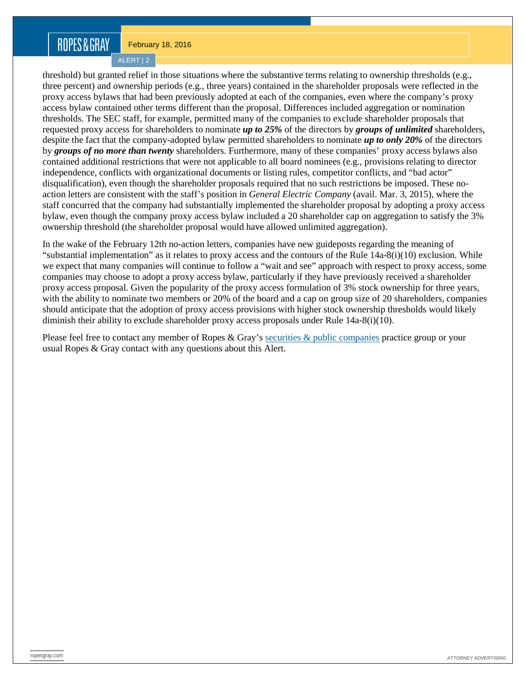## ROPES&GRAY

February 18, 2016

ALERT | 2

threshold) but granted relief in those situations where the substantive terms relating to ownership thresholds (e.g., three percent) and ownership periods (e.g., three years) contained in the shareholder proposals were reflected in the proxy access bylaws that had been previously adopted at each of the companies, even where the company's proxy access bylaw contained other terms different than the proposal. Differences included aggregation or nomination thresholds. The SEC staff, for example, permitted many of the companies to exclude shareholder proposals that requested proxy access for shareholders to nominate *up to 25%* of the directors by *groups of unlimited* shareholders, despite the fact that the company-adopted bylaw permitted shareholders to nominate *up to only 20%* of the directors by *groups of no more than twenty* shareholders. Furthermore, many of these companies' proxy access bylaws also contained additional restrictions that were not applicable to all board nominees (e.g., provisions relating to director independence, conflicts with organizational documents or listing rules, competitor conflicts, and "bad actor" disqualification), even though the shareholder proposals required that no such restrictions be imposed. These noaction letters are consistent with the staff's position in *General Electric Company* (avail. Mar. 3, 2015), where the staff concurred that the company had substantially implemented the shareholder proposal by adopting a proxy access bylaw, even though the company proxy access bylaw included a 20 shareholder cap on aggregation to satisfy the 3% ownership threshold (the shareholder proposal would have allowed unlimited aggregation).

In the wake of the February 12th no-action letters, companies have new guideposts regarding the meaning of "substantial implementation" as it relates to proxy access and the contours of the Rule  $14a-8(i)(10)$  exclusion. While we expect that many companies will continue to follow a "wait and see" approach with respect to proxy access, some companies may choose to adopt a proxy access bylaw, particularly if they have previously received a shareholder proxy access proposal. Given the popularity of the proxy access formulation of 3% stock ownership for three years, with the ability to nominate two members or 20% of the board and a cap on group size of 20 shareholders, companies should anticipate that the adoption of proxy access provisions with higher stock ownership thresholds would likely diminish their ability to exclude shareholder proxy access proposals under Rule 14a-8(i)(10).

Please feel free to contact any member of Ropes & Gray's [securities & public companies](https://www.ropesgray.com/practices/Securities-and-Public-Companies.aspx) practice group or your usual Ropes & Gray contact with any questions about this Alert.